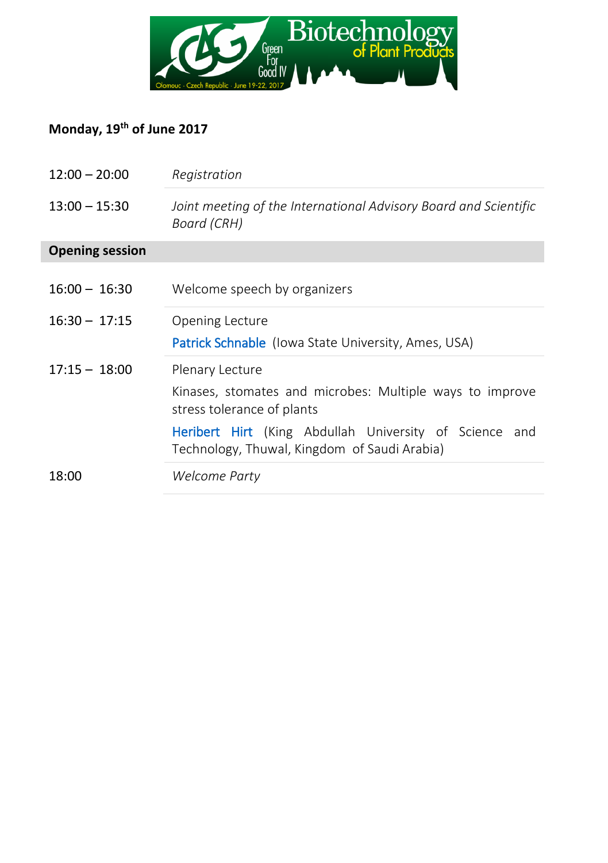

## **Monday, 19th of June 2017**

| $12:00 - 20:00$        | Registration                                                                                                     |
|------------------------|------------------------------------------------------------------------------------------------------------------|
| $13:00 - 15:30$        | Joint meeting of the International Advisory Board and Scientific<br>Board (CRH)                                  |
| <b>Opening session</b> |                                                                                                                  |
| $16:00 - 16:30$        | Welcome speech by organizers                                                                                     |
| $16:30 - 17:15$        | Opening Lecture                                                                                                  |
|                        | <b>Patrick Schnable</b> (Iowa State University, Ames, USA)                                                       |
| $17:15 - 18:00$        | Plenary Lecture                                                                                                  |
|                        | Kinases, stomates and microbes: Multiple ways to improve<br>stress tolerance of plants                           |
|                        | <b>Heribert Hirt</b> (King Abdullah University of Science<br>and<br>Technology, Thuwal, Kingdom of Saudi Arabia) |
| 18:00                  | Welcome Party                                                                                                    |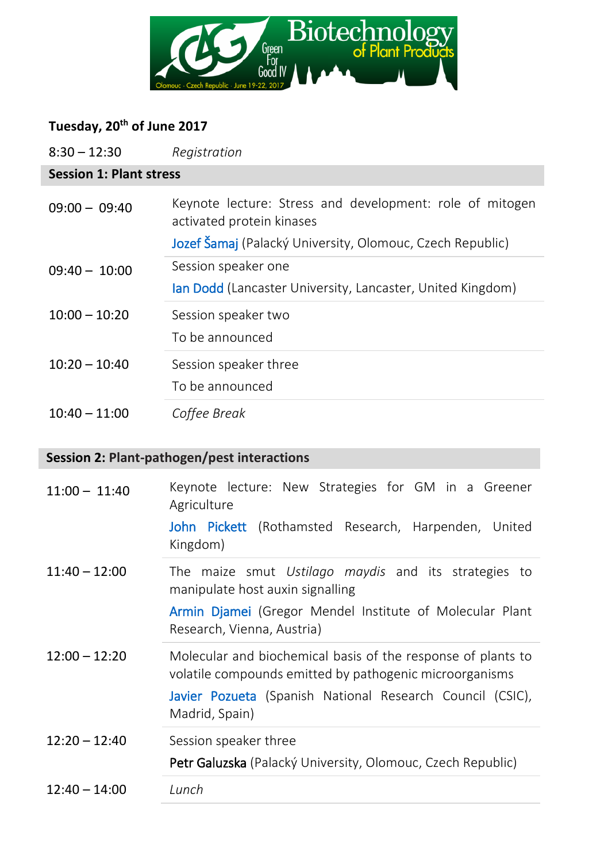

#### **Tuesday, 20th of June 2017**

| $8:30 - 12:30$                 | Registration                                                                                                                                                                         |  |
|--------------------------------|--------------------------------------------------------------------------------------------------------------------------------------------------------------------------------------|--|
| <b>Session 1: Plant stress</b> |                                                                                                                                                                                      |  |
| $09:00 - 09:40$                | Keynote lecture: Stress and development: role of mitogen<br>activated protein kinases                                                                                                |  |
|                                | Jozef Šamaj (Palacký University, Olomouc, Czech Republic)                                                                                                                            |  |
| $09:40 - 10:00$                | Session speaker one                                                                                                                                                                  |  |
|                                | lan Dodd (Lancaster University, Lancaster, United Kingdom)                                                                                                                           |  |
| $10:00 - 10:20$                | Session speaker two                                                                                                                                                                  |  |
|                                | To be announced                                                                                                                                                                      |  |
| $10:20 - 10:40$                | Session speaker three                                                                                                                                                                |  |
|                                | To be announced                                                                                                                                                                      |  |
| $10:40 - 11:00$                | Coffee Break                                                                                                                                                                         |  |
|                                | Session 2: Plant-pathogen/pest interactions                                                                                                                                          |  |
| $11:00 - 11:40$                |                                                                                                                                                                                      |  |
|                                | Keynote lecture: New Strategies for GM in a Greener<br>Agriculture                                                                                                                   |  |
|                                | John Pickett (Rothamsted Research, Harpenden, United<br>Kingdom)                                                                                                                     |  |
| $11:40 - 12:00$                | The maize smut Ustilago maydis and its strategies to<br>manipulate host auxin signalling                                                                                             |  |
|                                | Armin Djamei (Gregor Mendel Institute of Molecular Plant<br>Research, Vienna, Austria)                                                                                               |  |
| $12:00 - 12:20$                | Molecular and biochemical basis of the response of plants to<br>volatile compounds emitted by pathogenic microorganisms<br>Javier Pozueta (Spanish National Research Council (CSIC), |  |
|                                | Madrid, Spain)                                                                                                                                                                       |  |
| $12:20 - 12:40$                | Session speaker three<br>Petr Galuzska (Palacký University, Olomouc, Czech Republic)                                                                                                 |  |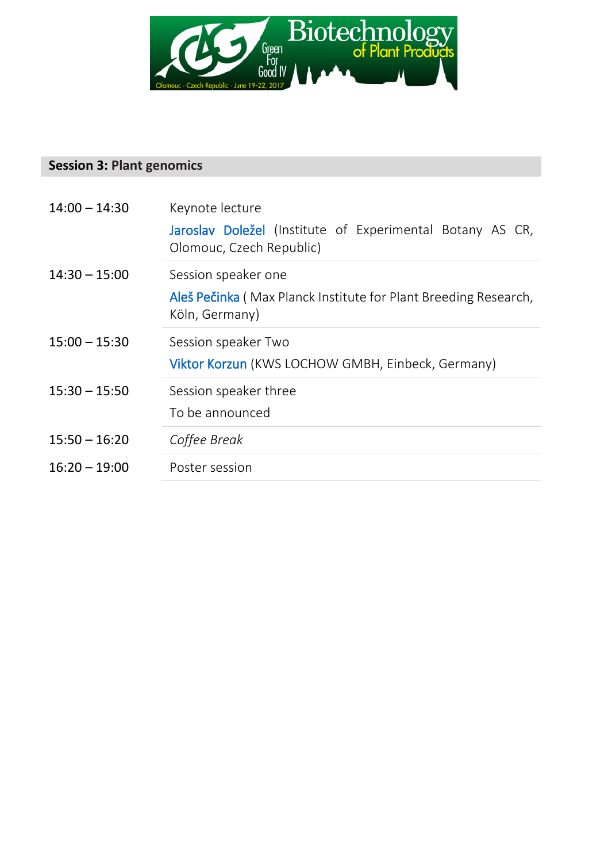

#### **Session 3: Plant genomics**

| $14:00 - 14:30$ | Keynote lecture                                                                       |
|-----------------|---------------------------------------------------------------------------------------|
|                 | Jaroslav Doležel (Institute of Experimental Botany AS CR,<br>Olomouc, Czech Republic) |
| $14:30 - 15:00$ | Session speaker one                                                                   |
|                 | Aleš Pečinka (Max Planck Institute for Plant Breeding Research,<br>Köln, Germany)     |
| $15:00 - 15:30$ | Session speaker Two                                                                   |
|                 | Viktor Korzun (KWS LOCHOW GMBH, Einbeck, Germany)                                     |
| $15:30 - 15:50$ | Session speaker three                                                                 |
|                 | To be announced                                                                       |
| $15:50 - 16:20$ | Coffee Break                                                                          |
| $16:20 - 19:00$ | Poster session                                                                        |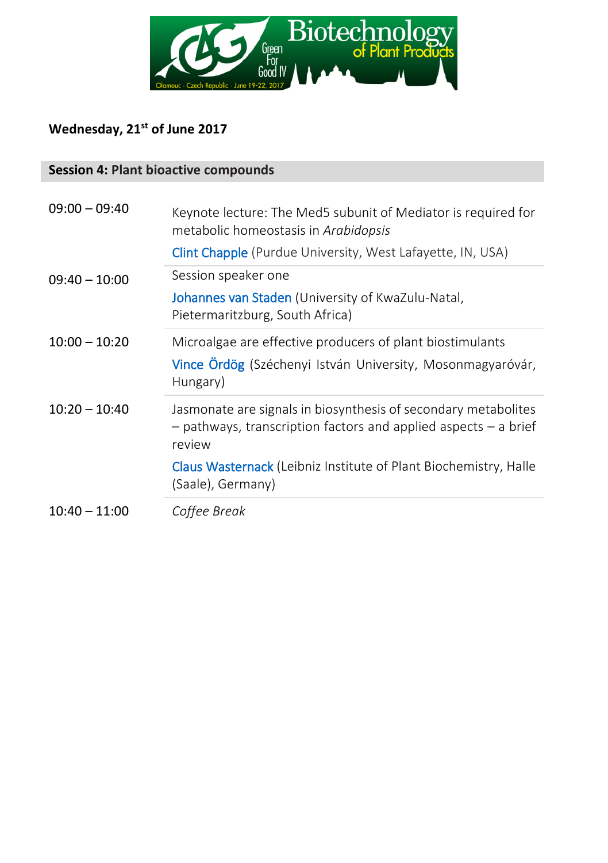

### **Wednesday, 21st of June 2017**

#### **Session 4: Plant bioactive compounds**

| $09:00 - 09:40$ | Keynote lecture: The Med5 subunit of Mediator is required for<br>metabolic homeostasis in Arabidopsis                                       |
|-----------------|---------------------------------------------------------------------------------------------------------------------------------------------|
|                 | <b>Clint Chapple</b> (Purdue University, West Lafayette, IN, USA)                                                                           |
| $09:40 - 10:00$ | Session speaker one                                                                                                                         |
|                 | Johannes van Staden (University of KwaZulu-Natal,<br>Pietermaritzburg, South Africa)                                                        |
| $10:00 - 10:20$ | Microalgae are effective producers of plant biostimulants<br>Vince Ördög (Széchenyi István University, Mosonmagyaróvár,<br>Hungary)         |
| $10:20 - 10:40$ | Jasmonate are signals in biosynthesis of secondary metabolites<br>- pathways, transcription factors and applied aspects - a brief<br>review |
|                 | <b>Claus Wasternack (Leibniz Institute of Plant Biochemistry, Halle</b><br>(Saale), Germany)                                                |
| $10:40 - 11:00$ | Coffee Break                                                                                                                                |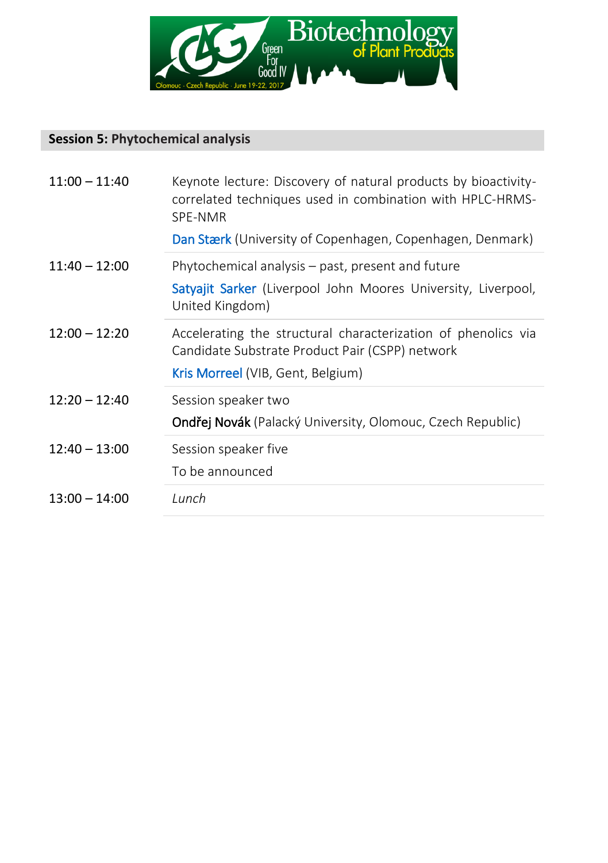

#### **Session 5: Phytochemical analysis**

| $11:00 - 11:40$ | Keynote lecture: Discovery of natural products by bioactivity-<br>correlated techniques used in combination with HPLC-HRMS-<br>SPF-NMR<br><b>Dan Stærk</b> (University of Copenhagen, Copenhagen, Denmark) |
|-----------------|------------------------------------------------------------------------------------------------------------------------------------------------------------------------------------------------------------|
| $11:40 - 12:00$ | Phytochemical analysis – past, present and future<br>Satyajit Sarker (Liverpool John Moores University, Liverpool,<br>United Kingdom)                                                                      |
| $12:00 - 12:20$ | Accelerating the structural characterization of phenolics via<br>Candidate Substrate Product Pair (CSPP) network<br>Kris Morreel (VIB, Gent, Belgium)                                                      |
| $12:20 - 12:40$ | Session speaker two<br>Ondřej Novák (Palacký University, Olomouc, Czech Republic)                                                                                                                          |
| $12:40 - 13:00$ | Session speaker five<br>To be announced                                                                                                                                                                    |
| $13:00 - 14:00$ | Lunch                                                                                                                                                                                                      |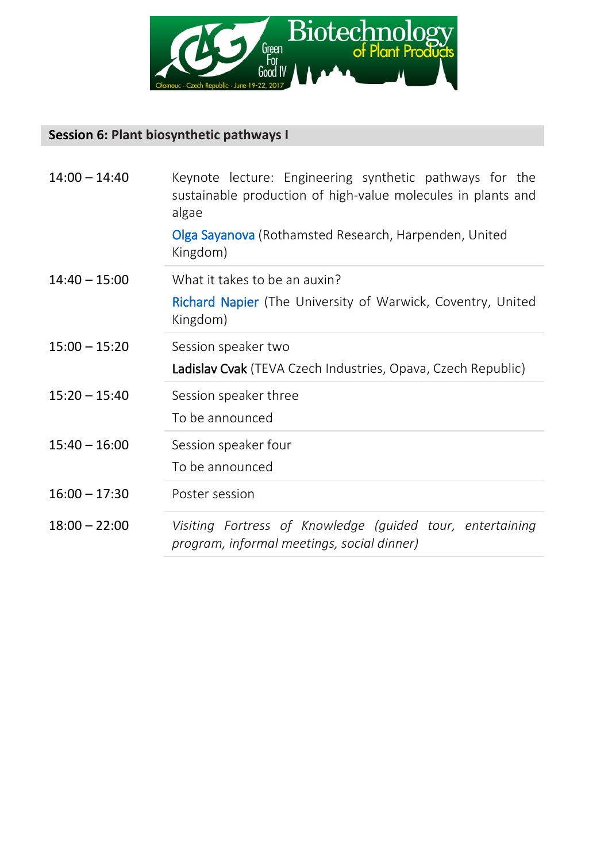

#### **Session 6: Plant biosynthetic pathways I**

| $14:00 - 14:40$ | Keynote lecture: Engineering synthetic pathways for the<br>sustainable production of high-value molecules in plants and<br>algae<br><b>Olga Sayanova</b> (Rothamsted Research, Harpenden, United<br>Kingdom) |
|-----------------|--------------------------------------------------------------------------------------------------------------------------------------------------------------------------------------------------------------|
| $14:40 - 15:00$ | What it takes to be an auxin?<br><b>Richard Napier</b> (The University of Warwick, Coventry, United<br>Kingdom)                                                                                              |
| $15:00 - 15:20$ | Session speaker two<br>Ladislav Cvak (TEVA Czech Industries, Opava, Czech Republic)                                                                                                                          |
| $15:20 - 15:40$ | Session speaker three<br>To be announced                                                                                                                                                                     |
| $15:40 - 16:00$ | Session speaker four<br>To be announced                                                                                                                                                                      |
| $16:00 - 17:30$ | Poster session                                                                                                                                                                                               |
| $18:00 - 22:00$ | Visiting Fortress of Knowledge (guided tour, entertaining<br>program, informal meetings, social dinner)                                                                                                      |